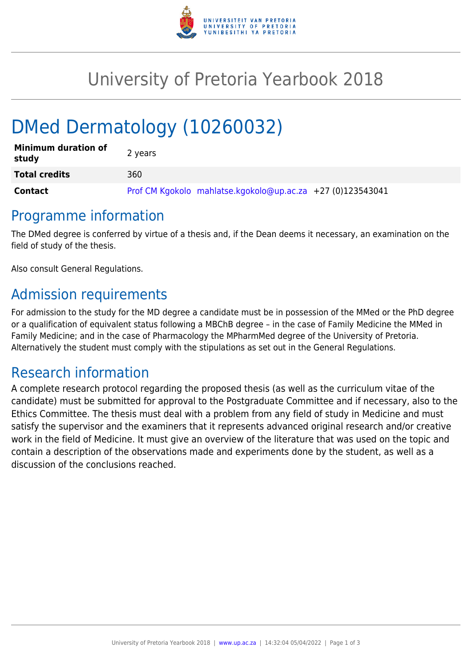

## University of Pretoria Yearbook 2018

# DMed Dermatology (10260032)

| <b>Minimum duration of</b><br>study | 2 years                                                    |
|-------------------------------------|------------------------------------------------------------|
| <b>Total credits</b>                | 360                                                        |
| Contact                             | Prof CM Kgokolo mahlatse.kgokolo@up.ac.za +27 (0)123543041 |

#### Programme information

The DMed degree is conferred by virtue of a thesis and, if the Dean deems it necessary, an examination on the field of study of the thesis.

Also consult General Regulations.

## Admission requirements

For admission to the study for the MD degree a candidate must be in possession of the MMed or the PhD degree or a qualification of equivalent status following a MBChB degree – in the case of Family Medicine the MMed in Family Medicine; and in the case of Pharmacology the MPharmMed degree of the University of Pretoria. Alternatively the student must comply with the stipulations as set out in the General Regulations.

#### Research information

A complete research protocol regarding the proposed thesis (as well as the curriculum vitae of the candidate) must be submitted for approval to the Postgraduate Committee and if necessary, also to the Ethics Committee. The thesis must deal with a problem from any field of study in Medicine and must satisfy the supervisor and the examiners that it represents advanced original research and/or creative work in the field of Medicine. It must give an overview of the literature that was used on the topic and contain a description of the observations made and experiments done by the student, as well as a discussion of the conclusions reached.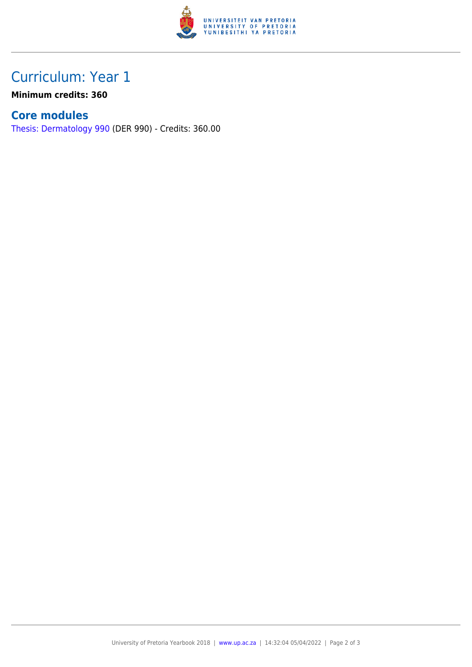

## Curriculum: Year 1

**Minimum credits: 360**

#### **Core modules**

[Thesis: Dermatology 990](https://www.up.ac.za/yearbooks/2018/modules/view/DER 990) (DER 990) - Credits: 360.00